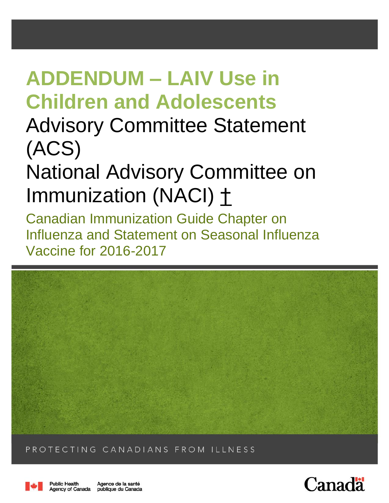# **ADDENDUM – LAIV Use in Children and Adolescents**

## Advisory Committee Statement (ACS)

# National Advisory Committee on Immunization (NACI) [†](#page-7-0)

Canadian Immunization Guide Chapter on Influenza and Statement on Seasonal Influenza Vaccine for 2016-2017



PROTECTING CANADIANS FROM ILLNESS



**Public Health** 

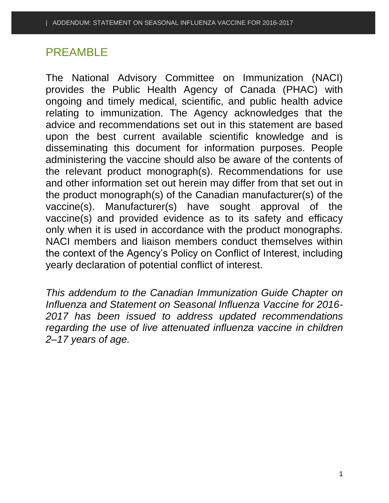## PREAMBLE

The National Advisory Committee on Immunization (NACI) provides the Public Health Agency of Canada (PHAC) with ongoing and timely medical, scientific, and public health advice relating to immunization. The Agency acknowledges that the advice and recommendations set out in this statement are based upon the best current available scientific knowledge and is disseminating this document for information purposes. People administering the vaccine should also be aware of the contents of the relevant product monograph(s). Recommendations for use and other information set out herein may differ from that set out in the product monograph(s) of the Canadian manufacturer(s) of the vaccine(s). Manufacturer(s) have sought approval of the vaccine(s) and provided evidence as to its safety and efficacy only when it is used in accordance with the product monographs. NACI members and liaison members conduct themselves within the context of the Agency's Policy on Conflict of Interest, including yearly declaration of potential conflict of interest.

*This addendum to the Canadian Immunization Guide Chapter on Influenza and Statement on Seasonal Influenza Vaccine for 2016- 2017 has been issued to address updated recommendations regarding the use of live attenuated influenza vaccine in children 2–17 years of age.*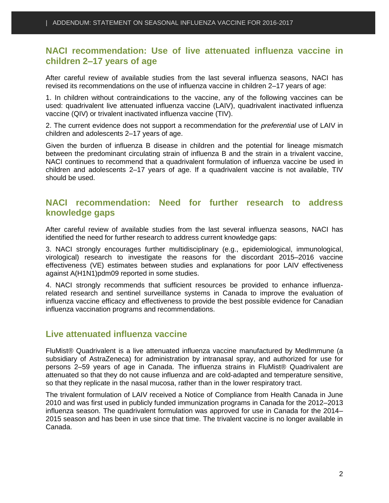## **NACI recommendation: Use of live attenuated influenza vaccine in children 2–17 years of age**

After careful review of available studies from the last several influenza seasons, NACI has revised its recommendations on the use of influenza vaccine in children 2–17 years of age:

1. In children without contraindications to the vaccine, any of the following vaccines can be used: quadrivalent live attenuated influenza vaccine (LAIV), quadrivalent inactivated influenza vaccine (QIV) or trivalent inactivated influenza vaccine (TIV).

2. The current evidence does not support a recommendation for the *preferential* use of LAIV in children and adolescents 2–17 years of age.

Given the burden of influenza B disease in children and the potential for lineage mismatch between the predominant circulating strain of influenza B and the strain in a trivalent vaccine, NACI continues to recommend that a quadrivalent formulation of influenza vaccine be used in children and adolescents 2–17 years of age. If a quadrivalent vaccine is not available, TIV should be used.

### **NACI recommendation: Need for further research to address knowledge gaps**

After careful review of available studies from the last several influenza seasons, NACI has identified the need for further research to address current knowledge gaps:

3. NACI strongly encourages further multidisciplinary (e.g., epidemiological, immunological, virological) research to investigate the reasons for the discordant 2015–2016 vaccine effectiveness (VE) estimates between studies and explanations for poor LAIV effectiveness against A(H1N1)pdm09 reported in some studies.

4. NACI strongly recommends that sufficient resources be provided to enhance influenzarelated research and sentinel surveillance systems in Canada to improve the evaluation of influenza vaccine efficacy and effectiveness to provide the best possible evidence for Canadian influenza vaccination programs and recommendations.

### **Live attenuated influenza vaccine**

FluMist® Quadrivalent is a live attenuated influenza vaccine manufactured by MedImmune (a subsidiary of AstraZeneca) for administration by intranasal spray, and authorized for use for persons 2–59 years of age in Canada. The influenza strains in FluMist® Quadrivalent are attenuated so that they do not cause influenza and are cold-adapted and temperature sensitive, so that they replicate in the nasal mucosa, rather than in the lower respiratory tract.

The trivalent formulation of LAIV received a Notice of Compliance from Health Canada in June 2010 and was first used in publicly funded immunization programs in Canada for the 2012–2013 influenza season. The quadrivalent formulation was approved for use in Canada for the 2014– 2015 season and has been in use since that time. The trivalent vaccine is no longer available in Canada.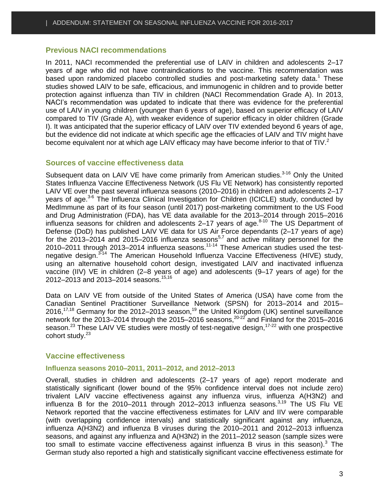#### **Previous NACI recommendations**

In 2011, NACI recommended the preferential use of LAIV in children and adolescents 2–17 years of age who did not have contraindications to the vaccine. This recommendation was .<br>based upon randomized placebo controlled studies and post-marketing safety data.<sup>1</sup> These studies showed LAIV to be safe, efficacious, and immunogenic in children and to provide better protection against influenza than TIV in children (NACI Recommendation Grade A). In 2013, NACI's recommendation was updated to indicate that there was evidence for the preferential use of LAIV in young children (younger than 6 years of age), based on superior efficacy of LAIV compared to TIV (Grade A), with weaker evidence of superior efficacy in older children (Grade I). It was anticipated that the superior efficacy of LAIV over TIV extended beyond 6 years of age, but the evidence did not indicate at which specific age the efficacies of LAIV and TIV might have become equivalent nor at which age LAIV efficacy may have become inferior to that of TIV.<sup>2</sup>

#### **Sources of vaccine effectiveness data**

Subsequent data on LAIV VE have come primarily from American studies.<sup>3-16</sup> Only the United States Influenza Vaccine Effectiveness Network (US Flu VE Network) has consistently reported LAIV VE over the past several influenza seasons (2010–2016) in children and adolescents 2–17 years of age.<sup>3-6</sup> The Influenza Clinical Investigation for Children (ICICLE) study, conducted by MedImmune as part of its four season (until 2017) post-marketing commitment to the US Food and Drug Administration (FDA), has VE data available for the 2013–2014 through 2015–2016 influenza seasons for children and adolescents 2–17 years of age. $8-10$  The US Department of Defense (DoD) has published LAIV VE data for US Air Force dependants (2–17 years of age) for the 2013–2014 and 2015–2016 influenza seasons<sup>5,7</sup> and active military personnel for the 2010–2011 through 2013–2014 influenza seasons.<sup>11-14</sup> These American studies used the testnegative design.<sup>3-14</sup> The American Household Influenza Vaccine Effectiveness (HIVE) study, using an alternative household cohort design, investigated LAIV and inactivated influenza vaccine (IIV) VE in children (2–8 years of age) and adolescents (9–17 years of age) for the 2012–2013 and 2013–2014 seasons.<sup>15,16</sup>

Data on LAIV VE from outside of the United States of America (USA) have come from the Canadian Sentinel Practitioner Surveillance Network (SPSN) for 2013–2014 and 2015– 2016,<sup>17,18</sup> Germany for the 2012–2013 season,<sup>19</sup> the United Kingdom (UK) sentinel surveillance network for the 2013–2014 through the 2015–2016 seasons,<sup>20-22</sup> and Finland for the 2015–2016 season.<sup>23</sup> These LAIV VE studies were mostly of test-negative design,  $17-22$  with one prospective cohort study.<sup>23</sup>

#### **Vaccine effectiveness**

#### **Influenza seasons 2010–2011, 2011–2012, and 2012–2013**

Overall, studies in children and adolescents (2–17 years of age) report moderate and statistically significant (lower bound of the 95% confidence interval does not include zero) trivalent LAIV vaccine effectiveness against any influenza virus, influenza A(H3N2) and influenza B for the 2010–2011 through 2012–2013 influenza seasons. $3,19$  The US Flu VE Network reported that the vaccine effectiveness estimates for LAIV and IIV were comparable (with overlapping confidence intervals) and statistically significant against any influenza, influenza A(H3N2) and influenza B viruses during the 2010–2011 and 2012–2013 influenza seasons, and against any influenza and A(H3N2) in the 2011–2012 season (sample sizes were too small to estimate vaccine effectiveness against influenza B virus in this season).<sup>3</sup> The German study also reported a high and statistically significant vaccine effectiveness estimate for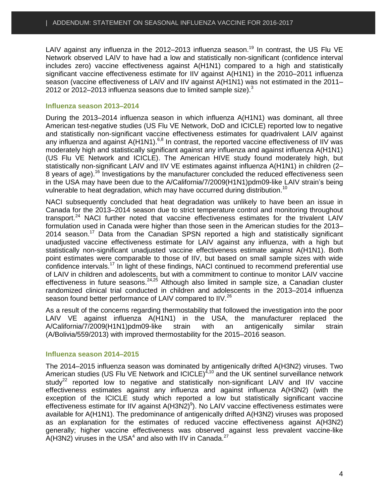LAIV against any influenza in the 2012–2013 influenza season.<sup>19</sup> In contrast, the US Flu VE Network observed LAIV to have had a low and statistically non-significant (confidence interval includes zero) vaccine effectiveness against A(H1N1) compared to a high and statistically significant vaccine effectiveness estimate for IIV against A(H1N1) in the 2010–2011 influenza season (vaccine effectiveness of LAIV and IIV against A(H1N1) was not estimated in the 2011– 2012 or 2012–2013 influenza seasons due to limited sample size). $3$ 

#### **Influenza season 2013–2014**

During the 2013–2014 influenza season in which influenza A(H1N1) was dominant, all three American test-negative studies (US Flu VE Network, DoD and ICICLE) reported low to negative and statistically non-significant vaccine effectiveness estimates for quadrivalent LAIV against any influenza and against  $A(H1N1).$ <sup>6,8</sup> In contrast, the reported vaccine effectiveness of IIV was moderately high and statistically significant against any influenza and against influenza A(H1N1) (US Flu VE Network and ICICLE). The American HIVE study found moderately high, but statistically non-significant LAIV and IIV VE estimates against influenza A(H1N1) in children (2– 8 years of age).<sup>16</sup> Investigations by the manufacturer concluded the reduced effectiveness seen in the USA may have been due to the A/California/7/2009(H1N1)pdm09-like LAIV strain's being vulnerable to heat degradation, which may have occurred during distribution.<sup>10</sup>

NACI subsequently concluded that heat degradation was unlikely to have been an issue in Canada for the 2013–2014 season due to strict temperature control and monitoring throughout transport.<sup>24</sup> NACI further noted that vaccine effectiveness estimates for the trivalent LAIV formulation used in Canada were higher than those seen in the American studies for the 2013–  $2014$  season.<sup>17</sup> Data from the Canadian SPSN reported a high and statistically significant unadjusted vaccine effectiveness estimate for LAIV against any influenza, with a high but statistically non-significant unadjusted vaccine effectiveness estimate against A(H1N1). Both point estimates were comparable to those of IIV, but based on small sample sizes with wide confidence intervals.<sup>17</sup> In light of these findings, NACI continued to recommend preferential use of LAIV in children and adolescents, but with a commitment to continue to monitor LAIV vaccine effectiveness in future seasons.<sup>24,25</sup> Although also limited in sample size, a Canadian cluster randomized clinical trial conducted in children and adolescents in the 2013–2014 influenza season found better performance of LAIV compared to IIV.<sup>26</sup>

As a result of the concerns regarding thermostability that followed the investigation into the poor LAIV VE against influenza A(H1N1) in the USA, the manufacturer replaced the A/California/7/2009(H1N1)pdm09-like strain with an antigenically similar strain (A/Bolivia/559/2013) with improved thermostability for the 2015–2016 season.

#### **Influenza season 2014–2015**

The 2014–2015 influenza season was dominated by antigenically drifted A(H3N2) viruses. Two American studies (US Flu VE Network and ICICLE)<sup>4,10</sup> and the UK sentinel surveillance network study<sup>22</sup> reported low to negative and statistically non-significant LAIV and IIV vaccine effectiveness estimates against any influenza and against influenza A(H3N2) (with the exception of the ICICLE study which reported a low but statistically significant vaccine effectiveness estimate for IIV against A(H3N2)<sup>9</sup>). No LAIV vaccine effectiveness estimates were available for A(H1N1). The predominance of antigenically drifted A(H3N2) viruses was proposed as an explanation for the estimates of reduced vaccine effectiveness against A(H3N2) generally; higher vaccine effectiveness was observed against less prevalent vaccine-like  $A$ (H3N2) viruses in the USA<sup>4</sup> and also with IIV in Canada.<sup>27</sup>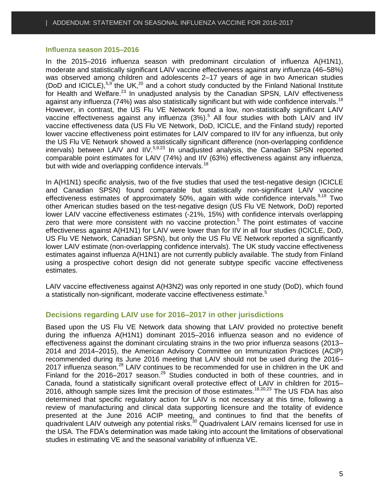#### **Influenza season 2015–2016**

In the 2015–2016 influenza season with predominant circulation of influenza A(H1N1), moderate and statistically significant LAIV vaccine effectiveness against any influenza (46–58%) was observed among children and adolescents 2–17 years of age in two American studies (DoD and ICICLE),  $5.9$  the UK,  $20$  and a cohort study conducted by the Finland National Institute for Health and Welfare.<sup>23</sup> In unadjusted analysis by the Canadian SPSN, LAIV effectiveness against any influenza (74%) was also statistically significant but with wide confidence intervals.<sup>18</sup> However, in contrast, the US Flu VE Network found a low, non-statistically significant LAIV vaccine effectiveness against any influenza (3%).<sup>5</sup> All four studies with both LAIV and IIV vaccine effectiveness data (US Flu VE Network, DoD, ICICLE, and the Finland study) reported lower vaccine effectiveness point estimates for LAIV compared to IIV for any influenza, but only the US Flu VE Network showed a statistically significant difference (non-overlapping confidence intervals) between LAIV and IIV.<sup>5,9,23</sup> In unadjusted analysis, the Canadian SPSN reported comparable point estimates for LAIV (74%) and IIV (63%) effectiveness against any influenza, but with wide and overlapping confidence intervals.<sup>18</sup>

In A(H1N1) specific analysis, two of the five studies that used the test-negative design (ICICLE and Canadian SPSN) found comparable but statistically non-significant LAIV vaccine effectiveness estimates of approximately 50%, again with wide confidence intervals.<sup>9,18</sup> Two other American studies based on the test-negative design (US Flu VE Network, DoD) reported lower LAIV vaccine effectiveness estimates (-21%, 15%) with confidence intervals overlapping zero that were more consistent with no vaccine protection.<sup>5</sup> The point estimates of vaccine effectiveness against A(H1N1) for LAIV were lower than for IIV in all four studies (ICICLE, DoD, US Flu VE Network, Canadian SPSN), but only the US Flu VE Network reported a significantly lower LAIV estimate (non-overlapping confidence intervals). The UK study vaccine effectiveness estimates against influenza A(H1N1) are not currently publicly available. The study from Finland using a prospective cohort design did not generate subtype specific vaccine effectiveness estimates.

LAIV vaccine effectiveness against A(H3N2) was only reported in one study (DoD), which found a statistically non-significant, moderate vaccine effectiveness estimate.<sup>5</sup>

#### **Decisions regarding LAIV use for 2016–2017 in other jurisdictions**

Based upon the US Flu VE Network data showing that LAIV provided no protective benefit during the influenza A(H1N1) dominant 2015–2016 influenza season and no evidence of effectiveness against the dominant circulating strains in the two prior influenza seasons (2013– 2014 and 2014–2015), the American Advisory Committee on Immunization Practices (ACIP) recommended during its June 2016 meeting that LAIV should not be used during the 2016– 2017 influenza season.<sup>28</sup> LAIV continues to be recommended for use in children in the UK and Finland for the 2016–2017 season.<sup>29</sup> Studies conducted in both of these countries, and in Canada, found a statistically significant overall protective effect of LAIV in children for 2015– 2016, although sample sizes limit the precision of those estimates.<sup>18,20,23</sup> The US FDA has also determined that specific regulatory action for LAIV is not necessary at this time, following a review of manufacturing and clinical data supporting licensure and the totality of evidence presented at the June 2016 ACIP meeting, and continues to find that the benefits of quadrivalent LAIV outweigh any potential risks.<sup>30</sup> Quadrivalent LAIV remains licensed for use in the USA. The FDA's determination was made taking into account the limitations of observational studies in estimating VE and the seasonal variability of influenza VE.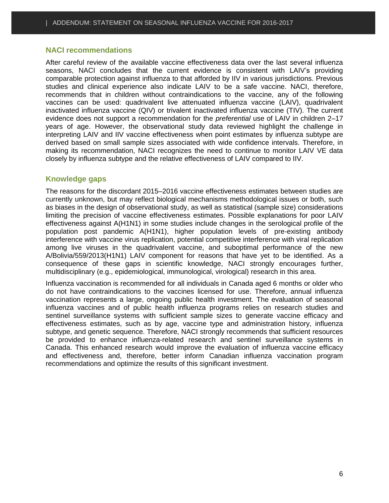#### **NACI recommendations**

After careful review of the available vaccine effectiveness data over the last several influenza seasons, NACI concludes that the current evidence is consistent with LAIV's providing comparable protection against influenza to that afforded by IIV in various jurisdictions. Previous studies and clinical experience also indicate LAIV to be a safe vaccine. NACI, therefore, recommends that in children without contraindications to the vaccine, any of the following vaccines can be used: quadrivalent live attenuated influenza vaccine (LAIV), quadrivalent inactivated influenza vaccine (QIV) or trivalent inactivated influenza vaccine (TIV). The current evidence does not support a recommendation for the *preferential* use of LAIV in children 2–17 years of age. However, the observational study data reviewed highlight the challenge in interpreting LAIV and IIV vaccine effectiveness when point estimates by influenza subtype are derived based on small sample sizes associated with wide confidence intervals. Therefore, in making its recommendation, NACI recognizes the need to continue to monitor LAIV VE data closely by influenza subtype and the relative effectiveness of LAIV compared to IIV.

#### **Knowledge gaps**

The reasons for the discordant 2015–2016 vaccine effectiveness estimates between studies are currently unknown, but may reflect biological mechanisms methodological issues or both, such as biases in the design of observational study, as well as statistical (sample size) considerations limiting the precision of vaccine effectiveness estimates. Possible explanations for poor LAIV effectiveness against A(H1N1) in some studies include changes in the serological profile of the population post pandemic A(H1N1), higher population levels of pre-existing antibody interference with vaccine virus replication, potential competitive interference with viral replication among live viruses in the quadrivalent vaccine, and suboptimal performance of the new A/Bolivia/559/2013(H1N1) LAIV component for reasons that have yet to be identified. As a consequence of these gaps in scientific knowledge, NACI strongly encourages further, multidisciplinary (e.g., epidemiological, immunological, virological) research in this area.

Influenza vaccination is recommended for all individuals in Canada aged 6 months or older who do not have contraindications to the vaccines licensed for use. Therefore, annual influenza vaccination represents a large, ongoing public health investment. The evaluation of seasonal influenza vaccines and of public health influenza programs relies on research studies and sentinel surveillance systems with sufficient sample sizes to generate vaccine efficacy and effectiveness estimates, such as by age, vaccine type and administration history, influenza subtype, and genetic sequence. Therefore, NACI strongly recommends that sufficient resources be provided to enhance influenza-related research and sentinel surveillance systems in Canada. This enhanced research would improve the evaluation of influenza vaccine efficacy and effectiveness and, therefore, better inform Canadian influenza vaccination program recommendations and optimize the results of this significant investment.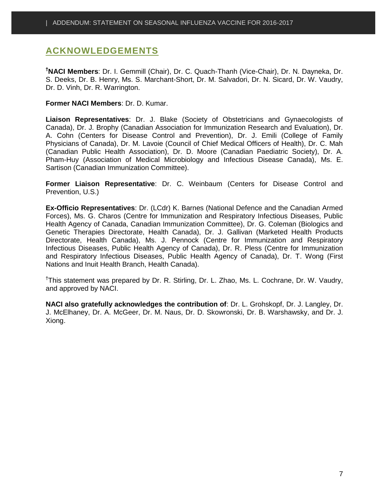### <span id="page-7-0"></span>**ACKNOWLEDGEMENTS**

**†NACI Members**: Dr. I. Gemmill (Chair), Dr. C. Quach-Thanh (Vice-Chair), Dr. N. Dayneka, Dr. S. Deeks, Dr. B. Henry, Ms. S. Marchant-Short, Dr. M. Salvadori, Dr. N. Sicard, Dr. W. Vaudry, Dr. D. Vinh, Dr. R. Warrington.

#### **Former NACI Members**: Dr. D. Kumar.

**Liaison Representatives**: Dr. J. Blake (Society of Obstetricians and Gynaecologists of Canada), Dr. J. Brophy (Canadian Association for Immunization Research and Evaluation), Dr. A. Cohn (Centers for Disease Control and Prevention), Dr. J. Emili (College of Family Physicians of Canada), Dr. M. Lavoie (Council of Chief Medical Officers of Health), Dr. C. Mah (Canadian Public Health Association), Dr. D. Moore (Canadian Paediatric Society), Dr. A. Pham-Huy (Association of Medical Microbiology and Infectious Disease Canada), Ms. E. Sartison (Canadian Immunization Committee).

**Former Liaison Representative**: Dr. C. Weinbaum (Centers for Disease Control and Prevention, U.S.)

**Ex-Officio Representatives**: Dr. (LCdr) K. Barnes (National Defence and the Canadian Armed Forces), Ms. G. Charos (Centre for Immunization and Respiratory Infectious Diseases, Public Health Agency of Canada, Canadian Immunization Committee), Dr. G. Coleman (Biologics and Genetic Therapies Directorate, Health Canada), Dr. J. Gallivan (Marketed Health Products Directorate, Health Canada), Ms. J. Pennock (Centre for Immunization and Respiratory Infectious Diseases, Public Health Agency of Canada), Dr. R. Pless (Centre for Immunization and Respiratory Infectious Diseases, Public Health Agency of Canada), Dr. T. Wong (First Nations and Inuit Health Branch, Health Canada).

†This statement was prepared by Dr. R. Stirling, Dr. L. Zhao, Ms. L. Cochrane, Dr. W. Vaudry, and approved by NACI.

**NACI also gratefully acknowledges the contribution of**: Dr. L. Grohskopf, Dr. J. Langley, Dr. J. McElhaney, Dr. A. McGeer, Dr. M. Naus, Dr. D. Skowronski, Dr. B. Warshawsky, and Dr. J. Xiong.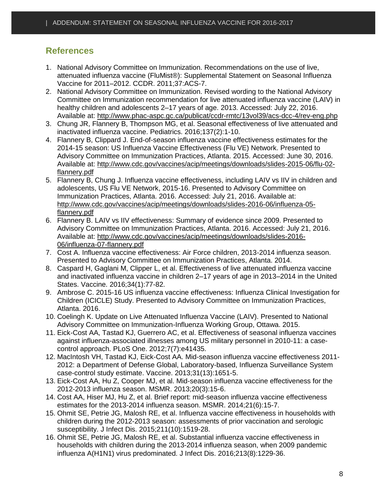## **References**

- 1. National Advisory Committee on Immunization. Recommendations on the use of live, attenuated influenza vaccine (FluMist®): Supplemental Statement on Seasonal Influenza Vaccine for 2011–2012. CCDR. 2011;37:ACS-7.
- 2. National Advisory Committee on Immunization. Revised wording to the National Advisory Committee on Immunization recommendation for live attenuated influenza vaccine (LAIV) in healthy children and adolescents 2–17 years of age. 2013. Accessed: July 22, 2016. Available at:<http://www.phac-aspc.gc.ca/publicat/ccdr-rmtc/13vol39/acs-dcc-4/rev-eng.php>
- 3. Chung JR, Flannery B, Thompson MG, et al. Seasonal effectiveness of live attenuated and inactivated influenza vaccine. Pediatrics. 2016;137(2):1-10.
- 4. Flannery B, Clippard J. End-of-season influenza vaccine effectiveness estimates for the 2014-15 season: US Influenza Vaccine Effectiveness (Flu VE) Network. Presented to Advisory Committee on Immunization Practices, Atlanta. 2015. Accessed: June 30, 2016. Available at: [http://www.cdc.gov/vaccines/acip/meetings/downloads/slides-2015-06/flu-02](http://www.cdc.gov/vaccines/acip/meetings/downloads/slides-2015-06/flu-02-flannery.pdf) [flannery.pdf](http://www.cdc.gov/vaccines/acip/meetings/downloads/slides-2015-06/flu-02-flannery.pdf)
- 5. Flannery B, Chung J. Influenza vaccine effectiveness, including LAIV vs IIV in children and adolescents, US Flu VE Network, 2015-16. Presented to Advisory Committee on Immunization Practices, Atlanta. 2016. Accessed: July 21, 2016. Available at: [http://www.cdc.gov/vaccines/acip/meetings/downloads/slides-2016-06/influenza-05](http://www.cdc.gov/vaccines/acip/meetings/downloads/slides-2016-06/influenza-05-flannery.pdf) [flannery.pdf](http://www.cdc.gov/vaccines/acip/meetings/downloads/slides-2016-06/influenza-05-flannery.pdf)
- 6. Flannery B. LAIV vs IIV effectiveness: Summary of evidence since 2009. Presented to Advisory Committee on Immunization Practices, Atlanta. 2016. Accessed: July 21, 2016. Available at: [http://www.cdc.gov/vaccines/acip/meetings/downloads/slides-2016-](http://www.cdc.gov/vaccines/acip/meetings/downloads/slides-2016-06/influenza-07-flannery.pdf) [06/influenza-07-flannery.pdf](http://www.cdc.gov/vaccines/acip/meetings/downloads/slides-2016-06/influenza-07-flannery.pdf)
- 7. Cost A. Influenza vaccine effectiveness: Air Force children, 2013-2014 influenza season. Presented to Advisory Committee on Immunization Practices, Atlanta. 2014.
- 8. Caspard H, Gaglani M, Clipper L, et al. Effectiveness of live attenuated influenza vaccine and inactivated influenza vaccine in children 2–17 years of age in 2013–2014 in the United States. Vaccine. 2016;34(1):77-82.
- 9. Ambrose C. 2015-16 US influenza vaccine effectiveness: Influenza Clinical Investigation for Children (ICICLE) Study. Presented to Advisory Committee on Immunization Practices, Atlanta. 2016.
- 10. Coelingh K. Update on Live Attenuated Influenza Vaccine (LAIV). Presented to National Advisory Committee on Immunization-Influenza Working Group, Ottawa. 2015.
- 11. Eick-Cost AA, Tastad KJ, Guerrero AC, et al. Effectiveness of seasonal influenza vaccines against influenza-associated illnesses among US military personnel in 2010-11: a casecontrol approach. PLoS One. 2012;7(7):e41435.
- 12. MacIntosh VH, Tastad KJ, Eick-Cost AA. Mid-season influenza vaccine effectiveness 2011- 2012: a Department of Defense Global, Laboratory-based, Influenza Surveillance System case-control study estimate. Vaccine. 2013;31(13):1651-5.
- 13. Eick-Cost AA, Hu Z, Cooper MJ, et al. Mid-season influenza vaccine effectiveness for the 2012-2013 influenza season. MSMR. 2013;20(3):15-6.
- 14. Cost AA, Hiser MJ, Hu Z, et al. Brief report: mid-season influenza vaccine effectiveness estimates for the 2013-2014 influenza season. MSMR. 2014;21(6):15-7.
- 15. Ohmit SE, Petrie JG, Malosh RE, et al. Influenza vaccine effectiveness in households with children during the 2012-2013 season: assessments of prior vaccination and serologic susceptibility. J Infect Dis. 2015;211(10):1519-28.
- 16. Ohmit SE, Petrie JG, Malosh RE, et al. Substantial influenza vaccine effectiveness in households with children during the 2013-2014 influenza season, when 2009 pandemic influenza A(H1N1) virus predominated. J Infect Dis. 2016;213(8):1229-36.